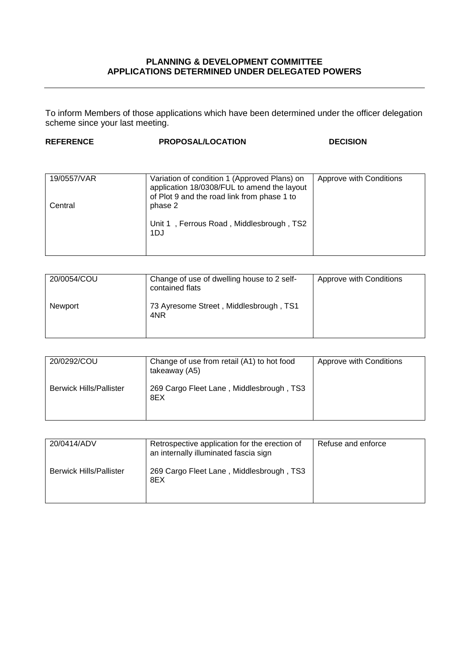## **PLANNING & DEVELOPMENT COMMITTEE APPLICATIONS DETERMINED UNDER DELEGATED POWERS**

To inform Members of those applications which have been determined under the officer delegation scheme since your last meeting.

| <b>REFERENCE</b> | <b>PROPOSAL/LOCATION</b> | <b>DECISION</b> |
|------------------|--------------------------|-----------------|
|                  |                          |                 |

| 19/0557/VAR | Variation of condition 1 (Approved Plans) on<br>application 18/0308/FUL to amend the layout<br>of Plot 9 and the road link from phase 1 to | Approve with Conditions |
|-------------|--------------------------------------------------------------------------------------------------------------------------------------------|-------------------------|
| Central     | phase 2<br>Unit 1, Ferrous Road, Middlesbrough, TS2                                                                                        |                         |
|             | 1DJ                                                                                                                                        |                         |

| 20/0054/COU | Change of use of dwelling house to 2 self-<br>contained flats | Approve with Conditions |
|-------------|---------------------------------------------------------------|-------------------------|
| Newport     | 73 Ayresome Street, Middlesbrough, TS1<br>4NR                 |                         |

| 20/0292/COU                    | Change of use from retail (A1) to hot food<br>takeaway (A5) | Approve with Conditions |
|--------------------------------|-------------------------------------------------------------|-------------------------|
| <b>Berwick Hills/Pallister</b> | 269 Cargo Fleet Lane, Middlesbrough, TS3<br>8EX             |                         |

| 20/0414/ADV                    | Retrospective application for the erection of<br>an internally illuminated fascia sign | Refuse and enforce |
|--------------------------------|----------------------------------------------------------------------------------------|--------------------|
| <b>Berwick Hills/Pallister</b> | 269 Cargo Fleet Lane, Middlesbrough, TS3<br>8EX                                        |                    |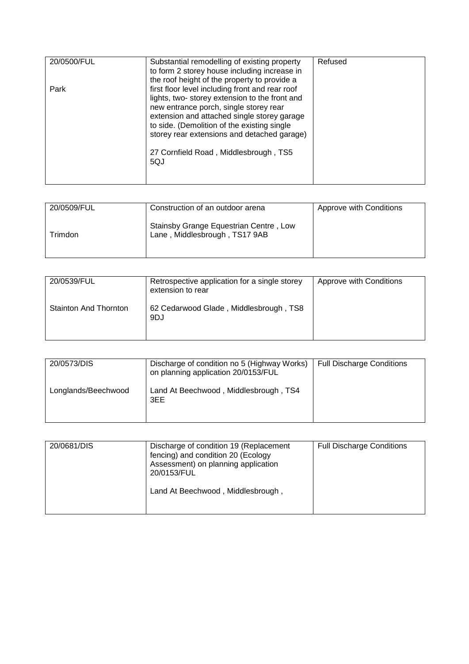| 20/0500/FUL | Substantial remodelling of existing property<br>to form 2 storey house including increase in                                                                                                                                                                                                                                                                                            | Refused |
|-------------|-----------------------------------------------------------------------------------------------------------------------------------------------------------------------------------------------------------------------------------------------------------------------------------------------------------------------------------------------------------------------------------------|---------|
| Park        | the roof height of the property to provide a<br>first floor level including front and rear roof<br>lights, two-storey extension to the front and<br>new entrance porch, single storey rear<br>extension and attached single storey garage<br>to side. (Demolition of the existing single<br>storey rear extensions and detached garage)<br>27 Cornfield Road, Middlesbrough, TS5<br>5QJ |         |

| 20/0509/FUL | Construction of an outdoor arena                                        | Approve with Conditions |
|-------------|-------------------------------------------------------------------------|-------------------------|
| ⊺rimdon     | Stainsby Grange Equestrian Centre, Low<br>Lane, Middlesbrough, TS17 9AB |                         |

| 20/0539/FUL                  | Retrospective application for a single storey<br>extension to rear | Approve with Conditions |
|------------------------------|--------------------------------------------------------------------|-------------------------|
| <b>Stainton And Thornton</b> | 62 Cedarwood Glade, Middlesbrough, TS8<br>9DJ                      |                         |

| 20/0573/DIS         | Discharge of condition no 5 (Highway Works)<br>on planning application 20/0153/FUL | <b>Full Discharge Conditions</b> |
|---------------------|------------------------------------------------------------------------------------|----------------------------------|
| Longlands/Beechwood | Land At Beechwood, Middlesbrough, TS4<br>3EE                                       |                                  |

| 20/0681/DIS | Discharge of condition 19 (Replacement<br>fencing) and condition 20 (Ecology<br>Assessment) on planning application<br>20/0153/FUL | <b>Full Discharge Conditions</b> |
|-------------|------------------------------------------------------------------------------------------------------------------------------------|----------------------------------|
|             | Land At Beechwood, Middlesbrough,                                                                                                  |                                  |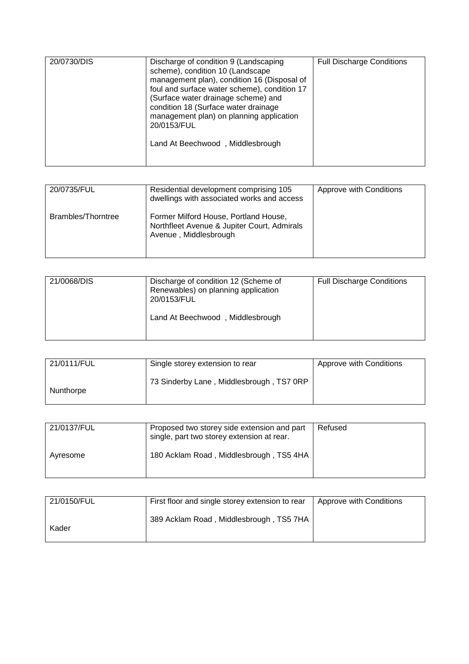| 20/0730/DIS | Discharge of condition 9 (Landscaping<br>scheme), condition 10 (Landscape<br>management plan), condition 16 (Disposal of<br>foul and surface water scheme), condition 17<br>(Surface water drainage scheme) and<br>condition 18 (Surface water drainage<br>management plan) on planning application<br>20/0153/FUL<br>Land At Beechwood, Middlesbrough | <b>Full Discharge Conditions</b> |
|-------------|--------------------------------------------------------------------------------------------------------------------------------------------------------------------------------------------------------------------------------------------------------------------------------------------------------------------------------------------------------|----------------------------------|
|             |                                                                                                                                                                                                                                                                                                                                                        |                                  |

| 20/0735/FUL        | Residential development comprising 105<br>dwellings with associated works and access                          | Approve with Conditions |
|--------------------|---------------------------------------------------------------------------------------------------------------|-------------------------|
| Brambles/Thorntree | Former Milford House, Portland House,<br>Northfleet Avenue & Jupiter Court, Admirals<br>Avenue, Middlesbrough |                         |

| 21/0111/FUL | Single storey extension to rear          | Approve with Conditions |
|-------------|------------------------------------------|-------------------------|
| Nunthorpe   | 73 Sinderby Lane, Middlesbrough, TS7 0RP |                         |

| 21/0137/FUL | Proposed two storey side extension and part<br>single, part two storey extension at rear. | Refused |
|-------------|-------------------------------------------------------------------------------------------|---------|
| Avresome    | 180 Acklam Road, Middlesbrough, TS5 4HA                                                   |         |

| 21/0150/FUL | First floor and single storey extension to rear | Approve with Conditions |
|-------------|-------------------------------------------------|-------------------------|
| Kader       | 389 Acklam Road, Middlesbrough, TS5 7HA         |                         |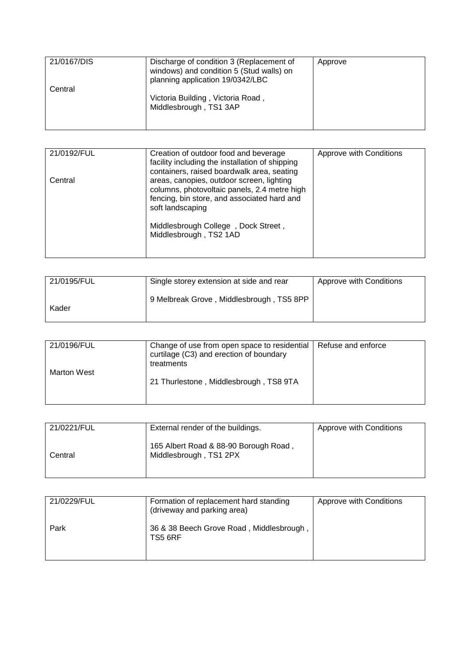| 21/0167/DIS | Discharge of condition 3 (Replacement of<br>windows) and condition 5 (Stud walls) on<br>planning application 19/0342/LBC | Approve |
|-------------|--------------------------------------------------------------------------------------------------------------------------|---------|
| Central     | Victoria Building, Victoria Road,<br>Middlesbrough, TS1 3AP                                                              |         |

| Approve with Conditions                                                                                                                                                                                                                                                                                                                                                 |
|-------------------------------------------------------------------------------------------------------------------------------------------------------------------------------------------------------------------------------------------------------------------------------------------------------------------------------------------------------------------------|
|                                                                                                                                                                                                                                                                                                                                                                         |
|                                                                                                                                                                                                                                                                                                                                                                         |
|                                                                                                                                                                                                                                                                                                                                                                         |
|                                                                                                                                                                                                                                                                                                                                                                         |
|                                                                                                                                                                                                                                                                                                                                                                         |
|                                                                                                                                                                                                                                                                                                                                                                         |
|                                                                                                                                                                                                                                                                                                                                                                         |
|                                                                                                                                                                                                                                                                                                                                                                         |
|                                                                                                                                                                                                                                                                                                                                                                         |
|                                                                                                                                                                                                                                                                                                                                                                         |
|                                                                                                                                                                                                                                                                                                                                                                         |
|                                                                                                                                                                                                                                                                                                                                                                         |
|                                                                                                                                                                                                                                                                                                                                                                         |
| Creation of outdoor food and beverage<br>facility including the installation of shipping<br>containers, raised boardwalk area, seating<br>areas, canopies, outdoor screen, lighting<br>columns, photovoltaic panels, 2.4 metre high<br>fencing, bin store, and associated hard and<br>soft landscaping<br>Middlesbrough College, Dock Street,<br>Middlesbrough, TS2 1AD |

| 21/0195/FUL | Single storey extension at side and rear | Approve with Conditions |
|-------------|------------------------------------------|-------------------------|
| Kader       | 9 Melbreak Grove, Middlesbrough, TS5 8PP |                         |

| 21/0196/FUL        | Change of use from open space to residential<br>curtilage (C3) and erection of boundary<br>treatments | Refuse and enforce |
|--------------------|-------------------------------------------------------------------------------------------------------|--------------------|
| <b>Marton West</b> | 21 Thurlestone, Middlesbrough, TS8 9TA                                                                |                    |

| 21/0221/FUL | External render of the buildings.                               | Approve with Conditions |
|-------------|-----------------------------------------------------------------|-------------------------|
| Central     | 165 Albert Road & 88-90 Borough Road,<br>Middlesbrough, TS1 2PX |                         |

| 21/0229/FUL | Formation of replacement hard standing<br>(driveway and parking area) | Approve with Conditions |
|-------------|-----------------------------------------------------------------------|-------------------------|
| Park        | 36 & 38 Beech Grove Road, Middlesbrough,<br>TS5 6RF                   |                         |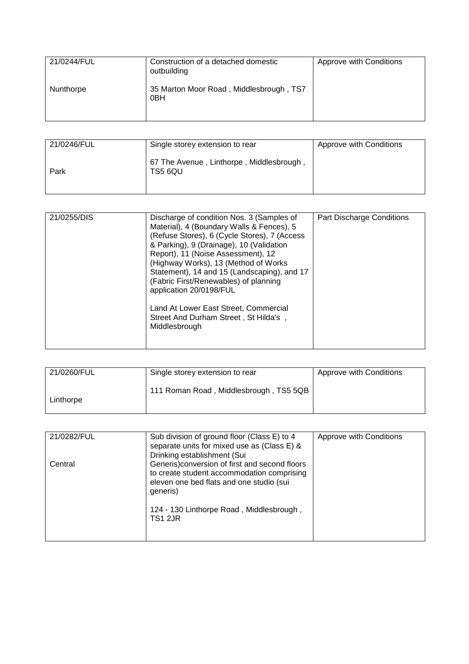| 21/0244/FUL | Construction of a detached domestic<br>outbuilding         | Approve with Conditions |
|-------------|------------------------------------------------------------|-------------------------|
| Nunthorpe   | 35 Marton Moor Road, Middlesbrough, TS7<br>0 <sub>BH</sub> |                         |

| 21/0246/FUL | Single storey extension to rear                     | Approve with Conditions |
|-------------|-----------------------------------------------------|-------------------------|
| Park        | 67 The Avenue, Linthorpe, Middlesbrough,<br>TS5 6QU |                         |

| 21/0255/DIS | Discharge of condition Nos. 3 (Samples of    | Part Discharge Conditions |
|-------------|----------------------------------------------|---------------------------|
|             | Material), 4 (Boundary Walls & Fences), 5    |                           |
|             |                                              |                           |
|             | (Refuse Stores), 6 (Cycle Stores), 7 (Access |                           |
|             | & Parking), 9 (Drainage), 10 (Validation     |                           |
|             | Report), 11 (Noise Assessment), 12           |                           |
|             | (Highway Works), 13 (Method of Works)        |                           |
|             | Statement), 14 and 15 (Landscaping), and 17  |                           |
|             | (Fabric First/Renewables) of planning        |                           |
|             | application 20/0198/FUL                      |                           |
|             |                                              |                           |
|             | Land At Lower East Street, Commercial        |                           |
|             | Street And Durham Street, St Hilda's,        |                           |
|             | Middlesbrough                                |                           |
|             |                                              |                           |
|             |                                              |                           |

| 21/0260/FUL | Single storey extension to rear        | Approve with Conditions |
|-------------|----------------------------------------|-------------------------|
| Linthorpe   | 111 Roman Road, Middlesbrough, TS5 5QB |                         |

| 21/0282/FUL | Sub division of ground floor (Class E) to 4<br>separate units for mixed use as (Class E) &<br>Drinking establishment (Sui                            | Approve with Conditions |
|-------------|------------------------------------------------------------------------------------------------------------------------------------------------------|-------------------------|
| Central     | Generis) conversion of first and second floors<br>to create student accommodation comprising<br>eleven one bed flats and one studio (sui<br>generis) |                         |
|             | 124 - 130 Linthorpe Road, Middlesbrough,<br><b>TS1 2JR</b>                                                                                           |                         |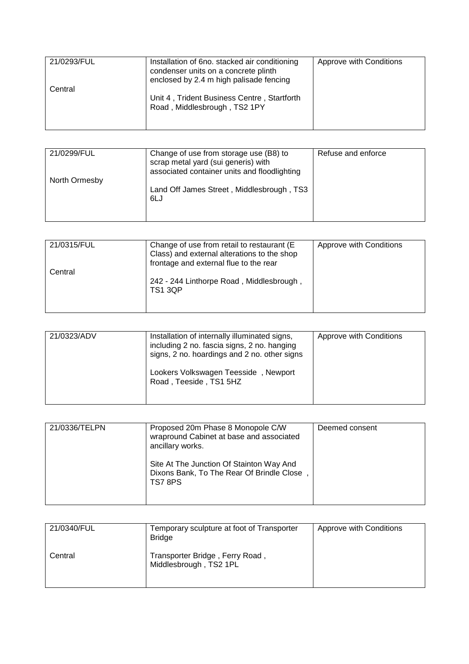| 21/0293/FUL | Installation of 6no. stacked air conditioning<br>condenser units on a concrete plinth<br>enclosed by 2.4 m high palisade fencing | Approve with Conditions |
|-------------|----------------------------------------------------------------------------------------------------------------------------------|-------------------------|
| Central     | Unit 4, Trident Business Centre, Startforth<br>Road, Middlesbrough, TS2 1PY                                                      |                         |

| 21/0299/FUL<br>North Ormesby | Change of use from storage use (B8) to<br>scrap metal yard (sui generis) with<br>associated container units and floodlighting | Refuse and enforce |
|------------------------------|-------------------------------------------------------------------------------------------------------------------------------|--------------------|
|                              | Land Off James Street, Middlesbrough, TS3<br>6LJ                                                                              |                    |

| 21/0315/FUL | Change of use from retail to restaurant (E)<br>Class) and external alterations to the shop<br>frontage and external flue to the rear | Approve with Conditions |
|-------------|--------------------------------------------------------------------------------------------------------------------------------------|-------------------------|
| Central     | 242 - 244 Linthorpe Road, Middlesbrough,<br><b>TS1 3QP</b>                                                                           |                         |

| 21/0323/ADV | Installation of internally illuminated signs,<br>including 2 no. fascia signs, 2 no. hanging<br>signs, 2 no. hoardings and 2 no. other signs | Approve with Conditions |
|-------------|----------------------------------------------------------------------------------------------------------------------------------------------|-------------------------|
|             | Lookers Volkswagen Teesside, Newport<br>Road, Teeside, TS1 5HZ                                                                               |                         |

| 21/0336/TELPN | Proposed 20m Phase 8 Monopole C/W<br>wrapround Cabinet at base and associated<br>ancillary works. | Deemed consent |
|---------------|---------------------------------------------------------------------------------------------------|----------------|
|               | Site At The Junction Of Stainton Way And<br>Dixons Bank, To The Rear Of Brindle Close,<br>TS78PS  |                |

| 21/0340/FUL | Temporary sculpture at foot of Transporter<br><b>Bridge</b> | Approve with Conditions |
|-------------|-------------------------------------------------------------|-------------------------|
| Central     | Transporter Bridge, Ferry Road,<br>Middlesbrough, TS2 1PL   |                         |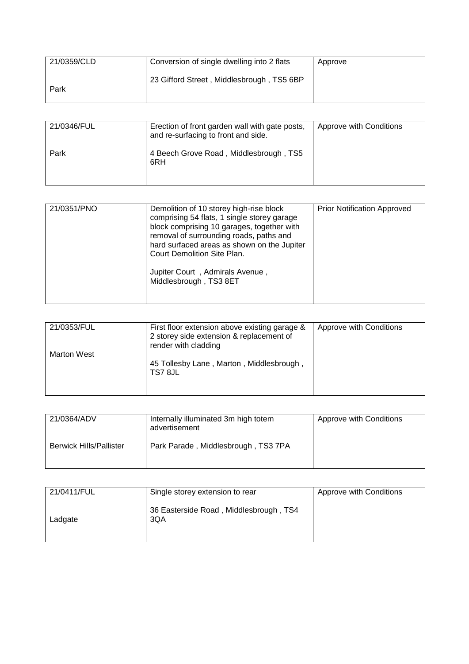| 21/0359/CLD | Conversion of single dwelling into 2 flats | Approve |
|-------------|--------------------------------------------|---------|
| Park        | 23 Gifford Street, Middlesbrough, TS5 6BP  |         |

| 21/0346/FUL | Erection of front garden wall with gate posts,<br>and re-surfacing to front and side. | Approve with Conditions |
|-------------|---------------------------------------------------------------------------------------|-------------------------|
| Park        | 4 Beech Grove Road, Middlesbrough, TS5<br>6RH                                         |                         |

| 21/0351/PNO | Demolition of 10 storey high-rise block<br>comprising 54 flats, 1 single storey garage<br>block comprising 10 garages, together with<br>removal of surrounding roads, paths and<br>hard surfaced areas as shown on the Jupiter<br>Court Demolition Site Plan. | <b>Prior Notification Approved</b> |
|-------------|---------------------------------------------------------------------------------------------------------------------------------------------------------------------------------------------------------------------------------------------------------------|------------------------------------|
|             | Jupiter Court, Admirals Avenue,<br>Middlesbrough, TS3 8ET                                                                                                                                                                                                     |                                    |

| 21/0353/FUL        | First floor extension above existing garage &<br>2 storey side extension & replacement of<br>render with cladding | Approve with Conditions |
|--------------------|-------------------------------------------------------------------------------------------------------------------|-------------------------|
| <b>Marton West</b> | 45 Tollesby Lane, Marton, Middlesbrough,<br>TS7 8JL                                                               |                         |

| 21/0364/ADV                    | Internally illuminated 3m high totem<br>advertisement | Approve with Conditions |
|--------------------------------|-------------------------------------------------------|-------------------------|
| <b>Berwick Hills/Pallister</b> | Park Parade, Middlesbrough, TS3 7PA                   |                         |

| 21/0411/FUL | Single storey extension to rear               | Approve with Conditions |
|-------------|-----------------------------------------------|-------------------------|
| Ladgate     | 36 Easterside Road, Middlesbrough, TS4<br>3QA |                         |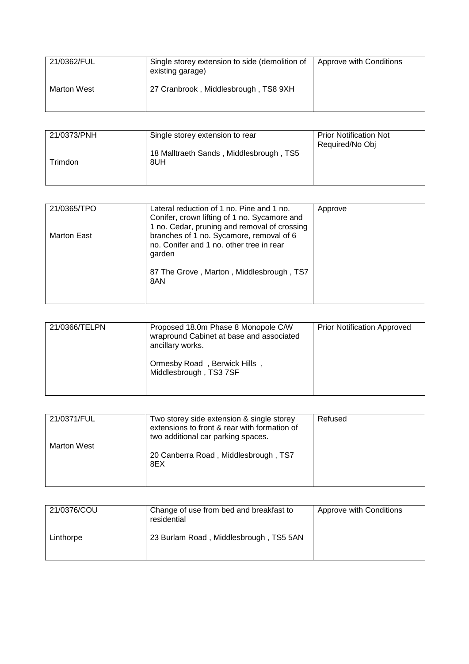| 21/0362/FUL | Single storey extension to side (demolition of<br>existing garage) | Approve with Conditions |
|-------------|--------------------------------------------------------------------|-------------------------|
| Marton West | 27 Cranbrook, Middlesbrough, TS8 9XH                               |                         |

| 21/0373/PNH | Single storey extension to rear                | <b>Prior Notification Not</b><br>Required/No Obj |
|-------------|------------------------------------------------|--------------------------------------------------|
| Trimdon     | 18 Malltraeth Sands, Middlesbrough, TS5<br>8UH |                                                  |

| 21/0365/TPO | Lateral reduction of 1 no. Pine and 1 no.<br>Conifer, crown lifting of 1 no. Sycamore and      | Approve |
|-------------|------------------------------------------------------------------------------------------------|---------|
|             | 1 no. Cedar, pruning and removal of crossing                                                   |         |
| Marton East | branches of 1 no. Sycamore, removal of 6<br>no. Conifer and 1 no. other tree in rear<br>garden |         |
|             | 87 The Grove, Marton, Middlesbrough, TS7<br>8AN                                                |         |
|             |                                                                                                |         |

| 21/0366/TELPN | Proposed 18.0m Phase 8 Monopole C/W<br>wrapround Cabinet at base and associated<br>ancillary works. | <b>Prior Notification Approved</b> |
|---------------|-----------------------------------------------------------------------------------------------------|------------------------------------|
|               | Ormesby Road, Berwick Hills,<br>Middlesbrough, TS3 7SF                                              |                                    |

| 21/0371/FUL        | Two storey side extension & single storey<br>extensions to front & rear with formation of<br>two additional car parking spaces. | Refused |
|--------------------|---------------------------------------------------------------------------------------------------------------------------------|---------|
| <b>Marton West</b> | 20 Canberra Road, Middlesbrough, TS7<br>8EX                                                                                     |         |

| 21/0376/COU | Change of use from bed and breakfast to<br>residential | Approve with Conditions |
|-------------|--------------------------------------------------------|-------------------------|
| Linthorpe   | 23 Burlam Road, Middlesbrough, TS5 5AN                 |                         |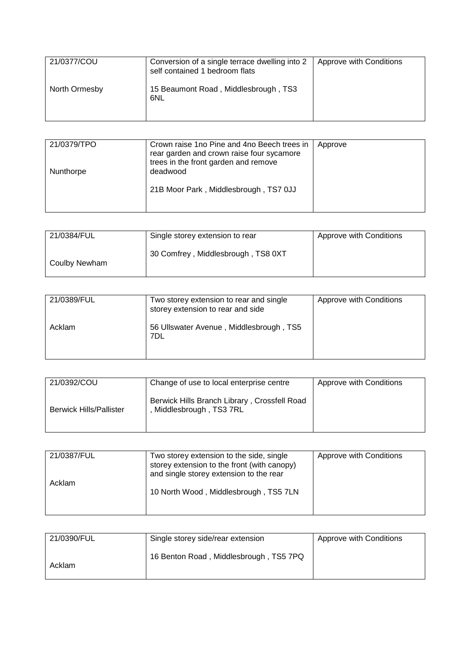| 21/0377/COU   | Conversion of a single terrace dwelling into 2<br>self contained 1 bedroom flats | Approve with Conditions |
|---------------|----------------------------------------------------------------------------------|-------------------------|
| North Ormesby | 15 Beaumont Road, Middlesbrough, TS3<br>6NL                                      |                         |

| 21/0379/TPO | Crown raise 1no Pine and 4no Beech trees in<br>rear garden and crown raise four sycamore<br>trees in the front garden and remove | Approve |
|-------------|----------------------------------------------------------------------------------------------------------------------------------|---------|
| Nunthorpe   | deadwood                                                                                                                         |         |
|             | 21B Moor Park, Middlesbrough, TS7 0JJ                                                                                            |         |

| 21/0384/FUL   | Single storey extension to rear    | Approve with Conditions |
|---------------|------------------------------------|-------------------------|
| Coulby Newham | 30 Comfrey, Middlesbrough, TS8 0XT |                         |

| 21/0389/FUL | Two storey extension to rear and single<br>storey extension to rear and side | Approve with Conditions |
|-------------|------------------------------------------------------------------------------|-------------------------|
| Acklam      | 56 Ullswater Avenue, Middlesbrough, TS5<br>7DL                               |                         |

| 21/0392/COU                    | Change of use to local enterprise centre                               | Approve with Conditions |
|--------------------------------|------------------------------------------------------------------------|-------------------------|
| <b>Berwick Hills/Pallister</b> | Berwick Hills Branch Library, Crossfell Road<br>Middlesbrough, TS3 7RL |                         |

| 21/0387/FUL | Two storey extension to the side, single<br>storey extension to the front (with canopy)<br>and single storey extension to the rear | Approve with Conditions |
|-------------|------------------------------------------------------------------------------------------------------------------------------------|-------------------------|
| Acklam      | 10 North Wood, Middlesbrough, TS5 7LN                                                                                              |                         |

| 21/0390/FUL | Single storey side/rear extension      | Approve with Conditions |
|-------------|----------------------------------------|-------------------------|
| Acklam      | 16 Benton Road, Middlesbrough, TS5 7PQ |                         |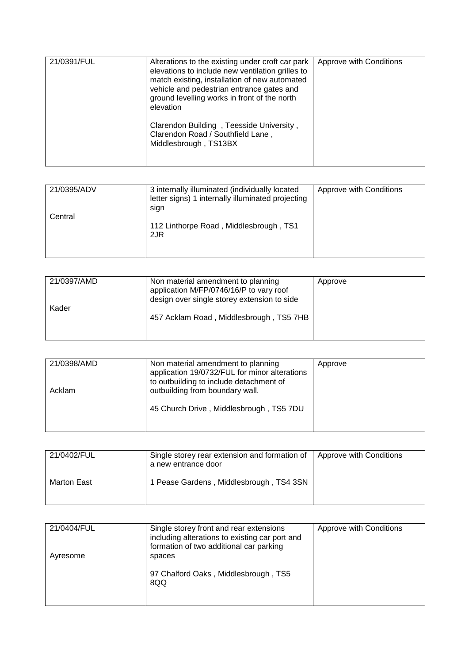| 21/0391/FUL | Alterations to the existing under croft car park<br>elevations to include new ventilation grilles to<br>match existing, installation of new automated<br>vehicle and pedestrian entrance gates and<br>ground levelling works in front of the north<br>elevation<br>Clarendon Building, Teesside University,<br>Clarendon Road / Southfield Lane,<br>Middlesbrough, TS13BX | Approve with Conditions |
|-------------|---------------------------------------------------------------------------------------------------------------------------------------------------------------------------------------------------------------------------------------------------------------------------------------------------------------------------------------------------------------------------|-------------------------|

| 21/0395/ADV | 3 internally illuminated (individually located<br>letter signs) 1 internally illuminated projecting<br>sign | Approve with Conditions |
|-------------|-------------------------------------------------------------------------------------------------------------|-------------------------|
| Central     | 112 Linthorpe Road, Middlesbrough, TS1<br>2JR                                                               |                         |

| 21/0397/AMD | Non material amendment to planning<br>application M/FP/0746/16/P to vary roof<br>design over single storey extension to side | Approve |
|-------------|------------------------------------------------------------------------------------------------------------------------------|---------|
| Kader       | 457 Acklam Road, Middlesbrough, TS5 7HB                                                                                      |         |

| 21/0398/AMD<br>Acklam | Non material amendment to planning<br>application 19/0732/FUL for minor alterations<br>to outbuilding to include detachment of<br>outbuilding from boundary wall. | Approve |
|-----------------------|-------------------------------------------------------------------------------------------------------------------------------------------------------------------|---------|
|                       | 45 Church Drive, Middlesbrough, TS5 7DU                                                                                                                           |         |

| 21/0402/FUL | Single storey rear extension and formation of<br>a new entrance door | Approve with Conditions |
|-------------|----------------------------------------------------------------------|-------------------------|
| Marton East | 1 Pease Gardens, Middlesbrough, TS4 3SN                              |                         |

| 21/0404/FUL | Single storey front and rear extensions<br>including alterations to existing car port and<br>formation of two additional car parking | Approve with Conditions |
|-------------|--------------------------------------------------------------------------------------------------------------------------------------|-------------------------|
| Ayresome    | spaces<br>97 Chalford Oaks, Middlesbrough, TS5                                                                                       |                         |
|             | 8QQ                                                                                                                                  |                         |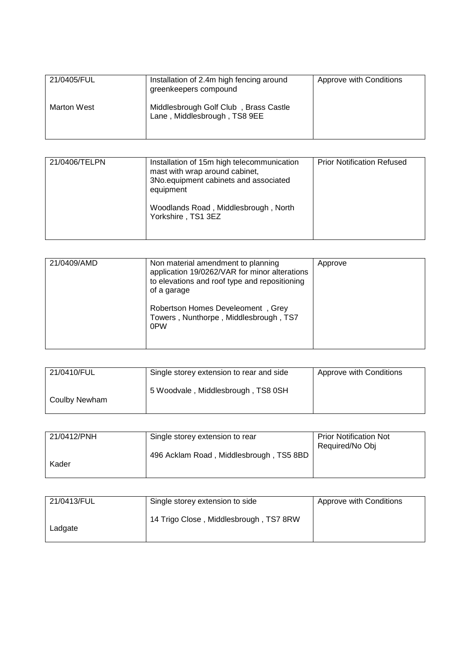| 21/0405/FUL | Installation of 2.4m high fencing around<br>greenkeepers compound     | Approve with Conditions |
|-------------|-----------------------------------------------------------------------|-------------------------|
| Marton West | Middlesbrough Golf Club, Brass Castle<br>Lane, Middlesbrough, TS8 9EE |                         |

| 21/0406/TELPN | Installation of 15m high telecommunication<br>mast with wrap around cabinet, | <b>Prior Notification Refused</b> |
|---------------|------------------------------------------------------------------------------|-----------------------------------|
|               | 3No.equipment cabinets and associated<br>equipment                           |                                   |
|               | Woodlands Road, Middlesbrough, North<br>Yorkshire, TS1 3EZ                   |                                   |

| 21/0409/AMD | Non material amendment to planning<br>application 19/0262/VAR for minor alterations<br>to elevations and roof type and repositioning<br>of a garage | Approve |
|-------------|-----------------------------------------------------------------------------------------------------------------------------------------------------|---------|
|             | Robertson Homes Develeoment, Grey<br>Towers, Nunthorpe, Middlesbrough, TS7<br>0PW                                                                   |         |

| 21/0410/FUL   | Single storey extension to rear and side | Approve with Conditions |
|---------------|------------------------------------------|-------------------------|
| Coulby Newham | 5 Woodvale, Middlesbrough, TS8 0SH       |                         |

| 21/0412/PNH | Single storey extension to rear         | <b>Prior Notification Not</b><br>Required/No Obj |
|-------------|-----------------------------------------|--------------------------------------------------|
| Kader       | 496 Acklam Road, Middlesbrough, TS5 8BD |                                                  |
|             |                                         |                                                  |

| 21/0413/FUL | Single storey extension to side        | Approve with Conditions |
|-------------|----------------------------------------|-------------------------|
| Ladgate     | 14 Trigo Close, Middlesbrough, TS7 8RW |                         |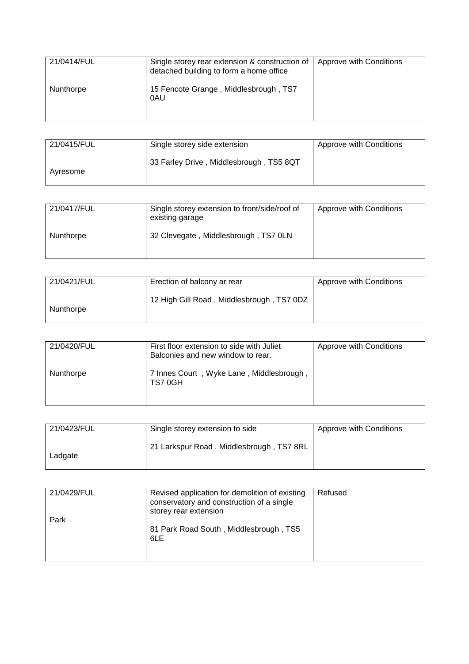| 21/0414/FUL | Single storey rear extension & construction of<br>detached building to form a home office | Approve with Conditions |
|-------------|-------------------------------------------------------------------------------------------|-------------------------|
| Nunthorpe   | 15 Fencote Grange, Middlesbrough, TS7<br>0AU                                              |                         |

| 21/0415/FUL | Single storey side extension            | Approve with Conditions |
|-------------|-----------------------------------------|-------------------------|
| Avresome    | 33 Farley Drive, Middlesbrough, TS5 8QT |                         |

| 21/0417/FUL | Single storey extension to front/side/roof of<br>existing garage | Approve with Conditions |
|-------------|------------------------------------------------------------------|-------------------------|
| Nunthorpe   | 32 Clevegate, Middlesbrough, TS7 0LN                             |                         |

| 21/0421/FUL | Erection of balcony ar rear               | Approve with Conditions |
|-------------|-------------------------------------------|-------------------------|
| Nunthorpe   | 12 High Gill Road, Middlesbrough, TS7 0DZ |                         |

| 21/0420/FUL | First floor extension to side with Juliet<br>Balconies and new window to rear. | Approve with Conditions |
|-------------|--------------------------------------------------------------------------------|-------------------------|
| Nunthorpe   | 7 Innes Court, Wyke Lane, Middlesbrough,<br>TS70GH                             |                         |

| 21/0423/FUL | Single storey extension to side          | Approve with Conditions |
|-------------|------------------------------------------|-------------------------|
| Ladgate     | 21 Larkspur Road, Middlesbrough, TS7 8RL |                         |

| 21/0429/FUL | Revised application for demolition of existing<br>conservatory and construction of a single<br>storey rear extension | Refused |
|-------------|----------------------------------------------------------------------------------------------------------------------|---------|
| Park        | 81 Park Road South, Middlesbrough, TS5<br>6LE                                                                        |         |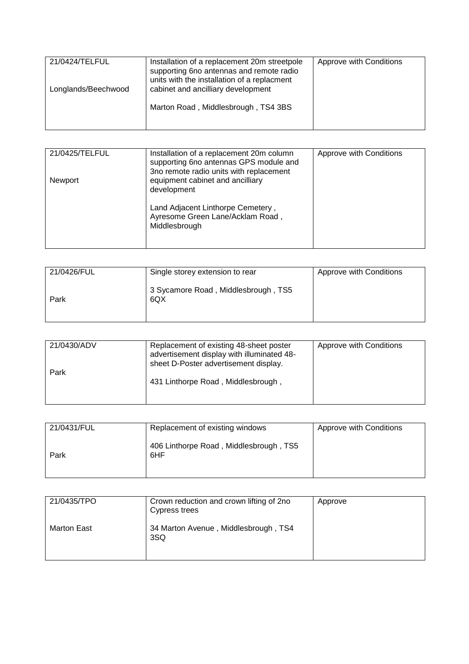| 21/0424/TELFUL      | Installation of a replacement 20m streetpole<br>supporting 6no antennas and remote radio | Approve with Conditions |
|---------------------|------------------------------------------------------------------------------------------|-------------------------|
| Longlands/Beechwood | units with the installation of a replacment<br>cabinet and ancilliary development        |                         |
|                     | Marton Road, Middlesbrough, TS4 3BS                                                      |                         |
|                     |                                                                                          |                         |

| 21/0425/TELFUL | Installation of a replacement 20m column<br>supporting 6no antennas GPS module and<br>3no remote radio units with replacement | Approve with Conditions |
|----------------|-------------------------------------------------------------------------------------------------------------------------------|-------------------------|
| Newport        | equipment cabinet and ancilliary<br>development                                                                               |                         |
|                | Land Adjacent Linthorpe Cemetery,<br>Ayresome Green Lane/Acklam Road,<br>Middlesbrough                                        |                         |
|                |                                                                                                                               |                         |

| 21/0426/FUL | Single storey extension to rear            | Approve with Conditions |
|-------------|--------------------------------------------|-------------------------|
| Park        | 3 Sycamore Road, Middlesbrough, TS5<br>6QX |                         |

| 21/0430/ADV<br>Park | Replacement of existing 48-sheet poster<br>advertisement display with illuminated 48-<br>sheet D-Poster advertisement display. | Approve with Conditions |
|---------------------|--------------------------------------------------------------------------------------------------------------------------------|-------------------------|
|                     | 431 Linthorpe Road, Middlesbrough,                                                                                             |                         |

| 21/0431/FUL | Replacement of existing windows               | Approve with Conditions |
|-------------|-----------------------------------------------|-------------------------|
| Park        | 406 Linthorpe Road, Middlesbrough, TS5<br>6HF |                         |

| 21/0435/TPO | Crown reduction and crown lifting of 2no<br>Cypress trees | Approve |
|-------------|-----------------------------------------------------------|---------|
| Marton East | 34 Marton Avenue, Middlesbrough, TS4<br>3SQ               |         |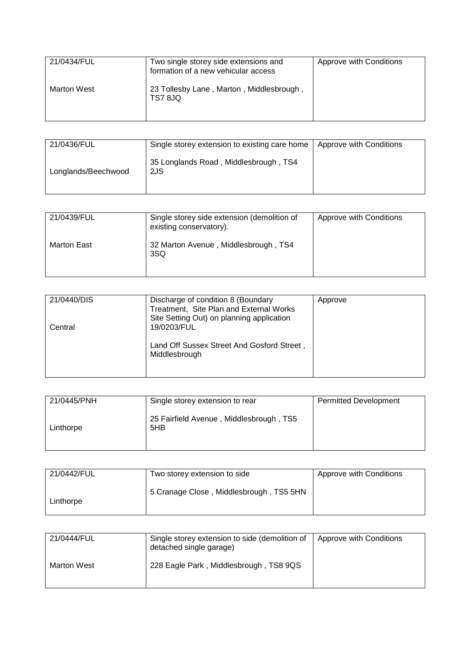| 21/0434/FUL | Two single storey side extensions and<br>formation of a new vehicular access | Approve with Conditions |
|-------------|------------------------------------------------------------------------------|-------------------------|
| Marton West | 23 Tollesby Lane, Marton, Middlesbrough,<br>TS7 8JQ                          |                         |

| 21/0436/FUL         | Single storey extension to existing care home   Approve with Conditions |  |
|---------------------|-------------------------------------------------------------------------|--|
| Longlands/Beechwood | 35 Longlands Road, Middlesbrough, TS4<br>2JS                            |  |

| 21/0439/FUL | Single storey side extension (demolition of<br>existing conservatory). | Approve with Conditions |
|-------------|------------------------------------------------------------------------|-------------------------|
| Marton East | 32 Marton Avenue, Middlesbrough, TS4<br>3SQ                            |                         |

| 21/0440/DIS | Discharge of condition 8 (Boundary                                                   | Approve |
|-------------|--------------------------------------------------------------------------------------|---------|
|             | Treatment, Site Plan and External Works<br>Site Setting Out) on planning application |         |
| Central     | 19/0203/FUL                                                                          |         |
|             | Land Off Sussex Street And Gosford Street,<br>Middlesbrough                          |         |

| 21/0445/PNH | Single storey extension to rear                | <b>Permitted Development</b> |
|-------------|------------------------------------------------|------------------------------|
| Linthorpe   | 25 Fairfield Avenue, Middlesbrough, TS5<br>5HB |                              |

| 21/0442/FUL | Two storey extension to side            | Approve with Conditions |
|-------------|-----------------------------------------|-------------------------|
| Linthorpe   | 5 Cranage Close, Middlesbrough, TS5 5HN |                         |

| 21/0444/FUL | Single storey extension to side (demolition of<br>detached single garage) | Approve with Conditions |
|-------------|---------------------------------------------------------------------------|-------------------------|
| Marton West | 228 Eagle Park, Middlesbrough, TS8 9QS                                    |                         |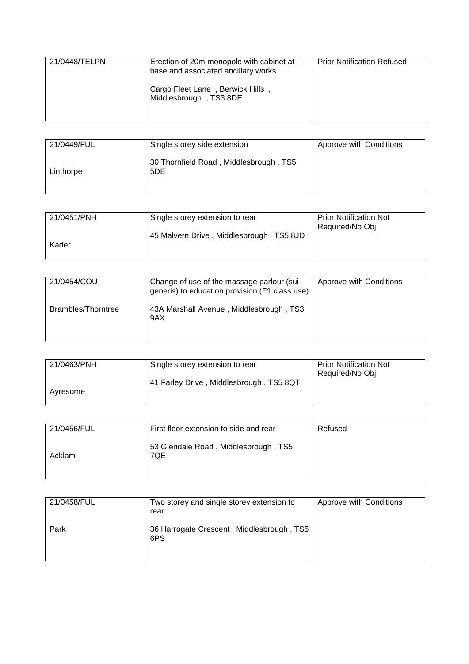| 21/0448/TELPN | Erection of 20m monopole with cabinet at<br>base and associated ancillary works | <b>Prior Notification Refused</b> |
|---------------|---------------------------------------------------------------------------------|-----------------------------------|
|               | Cargo Fleet Lane, Berwick Hills,<br>Middlesbrough, TS3 8DE                      |                                   |

| 21/0449/FUL | Single storey side extension                  | Approve with Conditions |
|-------------|-----------------------------------------------|-------------------------|
| Linthorpe   | 30 Thornfield Road, Middlesbrough, TS5<br>5DE |                         |

| 21/0451/PNH | Single storey extension to rear          | <b>Prior Notification Not</b><br>Required/No Obj |
|-------------|------------------------------------------|--------------------------------------------------|
| Kader       | 45 Malvern Drive, Middlesbrough, TS5 8JD |                                                  |

| 21/0454/COU        | Change of use of the massage parlour (sui<br>generis) to education provision (F1 class use) | Approve with Conditions |
|--------------------|---------------------------------------------------------------------------------------------|-------------------------|
| Brambles/Thorntree | 43A Marshall Avenue, Middlesbrough, TS3<br>9AX                                              |                         |

| Single storey extension to rear         | <b>Prior Notification Not</b> |
|-----------------------------------------|-------------------------------|
|                                         | Required/No Obj               |
| 41 Farley Drive, Middlesbrough, TS5 8QT |                               |
|                                         |                               |
|                                         |                               |

| 21/0456/FUL | First floor extension to side and rear      | Refused |
|-------------|---------------------------------------------|---------|
| Acklam      | 53 Glendale Road, Middlesbrough, TS5<br>7QE |         |

| 21/0458/FUL | Two storey and single storey extension to<br>rear | Approve with Conditions |
|-------------|---------------------------------------------------|-------------------------|
| Park        | 36 Harrogate Crescent, Middlesbrough, TS5<br>6PS  |                         |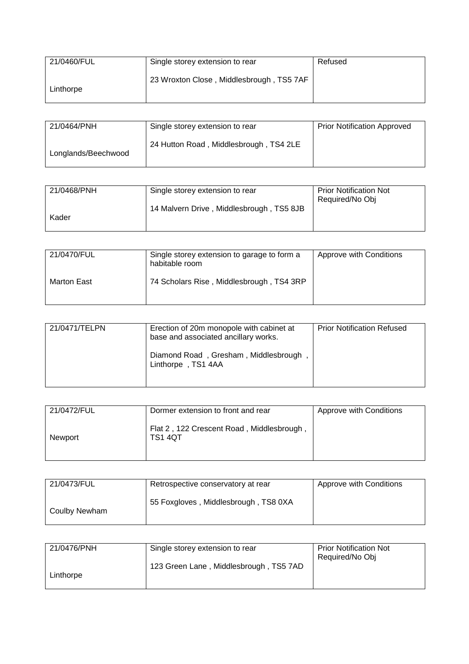| 21/0460/FUL | Single storey extension to rear          | Refused |
|-------------|------------------------------------------|---------|
| Linthorpe   | 23 Wroxton Close, Middlesbrough, TS5 7AF |         |

| 21/0464/PNH         | Single storey extension to rear        | <b>Prior Notification Approved</b> |
|---------------------|----------------------------------------|------------------------------------|
| Longlands/Beechwood | 24 Hutton Road, Middlesbrough, TS4 2LE |                                    |

| 21/0468/PNH | Single storey extension to rear          | <b>Prior Notification Not</b> |
|-------------|------------------------------------------|-------------------------------|
|             |                                          | Required/No Obj               |
|             | 14 Malvern Drive, Middlesbrough, TS5 8JB |                               |
| Kader       |                                          |                               |
|             |                                          |                               |

| 21/0470/FUL | Single storey extension to garage to form a<br>habitable room | Approve with Conditions |
|-------------|---------------------------------------------------------------|-------------------------|
| Marton East | 74 Scholars Rise, Middlesbrough, TS4 3RP                      |                         |

| 21/0471/TELPN | Erection of 20m monopole with cabinet at<br>base and associated ancillary works. | <b>Prior Notification Refused</b> |
|---------------|----------------------------------------------------------------------------------|-----------------------------------|
|               | Diamond Road, Gresham, Middlesbrough,<br>Linthorpe, TS1 4AA                      |                                   |

| 21/0472/FUL | Dormer extension to front and rear                          | Approve with Conditions |
|-------------|-------------------------------------------------------------|-------------------------|
| Newport     | Flat 2, 122 Crescent Road, Middlesbrough,<br><b>TS1 4QT</b> |                         |

| 21/0473/FUL   | Retrospective conservatory at rear   | Approve with Conditions |
|---------------|--------------------------------------|-------------------------|
| Coulby Newham | 55 Foxgloves, Middlesbrough, TS8 0XA |                         |

| 21/0476/PNH | Single storey extension to rear        | <b>Prior Notification Not</b> |
|-------------|----------------------------------------|-------------------------------|
|             |                                        | Required/No Obj               |
|             | 123 Green Lane, Middlesbrough, TS5 7AD |                               |
| Linthorpe   |                                        |                               |
|             |                                        |                               |
|             |                                        |                               |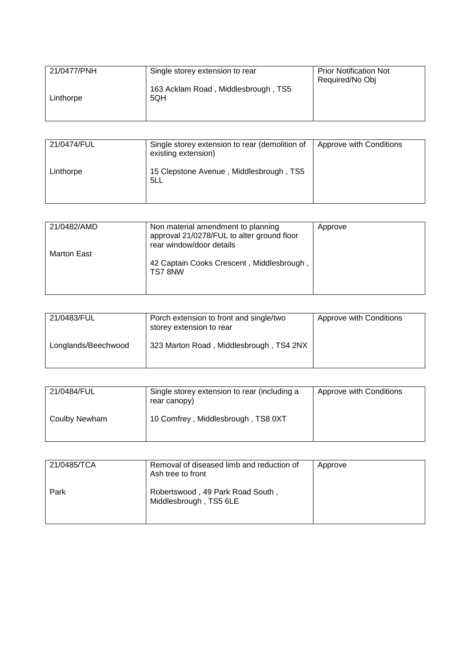| 21/0477/PNH | Single storey extension to rear            | <b>Prior Notification Not</b><br>Required/No Obj |
|-------------|--------------------------------------------|--------------------------------------------------|
| Linthorpe   | 163 Acklam Road, Middlesbrough, TS5<br>5QH |                                                  |
|             |                                            |                                                  |

| 21/0474/FUL | Single storey extension to rear (demolition of<br>existing extension) | Approve with Conditions |
|-------------|-----------------------------------------------------------------------|-------------------------|
| Linthorpe   | 15 Clepstone Avenue, Middlesbrough, TS5<br>5LL                        |                         |

| 21/0482/AMD        | Non material amendment to planning         | Approve |
|--------------------|--------------------------------------------|---------|
|                    | approval 21/0278/FUL to alter ground floor |         |
|                    |                                            |         |
|                    | rear window/door details                   |         |
| <b>Marton East</b> |                                            |         |
|                    |                                            |         |
|                    | 42 Captain Cooks Crescent, Middlesbrough,  |         |
|                    | TS78NW                                     |         |
|                    |                                            |         |
|                    |                                            |         |
|                    |                                            |         |

| 21/0483/FUL         | Porch extension to front and single/two<br>storey extension to rear | Approve with Conditions |
|---------------------|---------------------------------------------------------------------|-------------------------|
| Longlands/Beechwood | 323 Marton Road, Middlesbrough, TS4 2NX                             |                         |

| 21/0484/FUL   | Single storey extension to rear (including a<br>rear canopy) | Approve with Conditions |
|---------------|--------------------------------------------------------------|-------------------------|
| Coulby Newham | 10 Comfrey, Middlesbrough, TS8 0XT                           |                         |

| 21/0485/TCA | Removal of diseased limb and reduction of<br>Ash tree to front | Approve |
|-------------|----------------------------------------------------------------|---------|
| Park        | Robertswood, 49 Park Road South,<br>Middlesbrough, TS5 6LE     |         |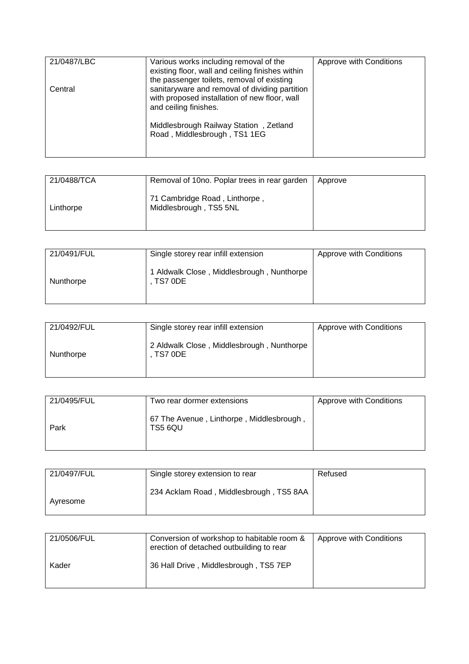| 21/0487/LBC | Various works including removal of the<br>existing floor, wall and ceiling finishes within<br>the passenger toilets, removal of existing                                                           | Approve with Conditions |
|-------------|----------------------------------------------------------------------------------------------------------------------------------------------------------------------------------------------------|-------------------------|
| Central     | sanitaryware and removal of dividing partition<br>with proposed installation of new floor, wall<br>and ceiling finishes.<br>Middlesbrough Railway Station, Zetland<br>Road, Middlesbrough, TS1 1EG |                         |

| 21/0488/TCA | Removal of 10no. Poplar trees in rear garden            | Approve |
|-------------|---------------------------------------------------------|---------|
| Linthorpe   | 71 Cambridge Road, Linthorpe,<br>Middlesbrough, TS5 5NL |         |

| 21/0491/FUL | Single storey rear infill extension                  | Approve with Conditions |
|-------------|------------------------------------------------------|-------------------------|
| Nunthorpe   | 1 Aldwalk Close, Middlesbrough, Nunthorpe<br>TS7 0DE |                         |

| 21/0492/FUL | Single storey rear infill extension                  | Approve with Conditions |
|-------------|------------------------------------------------------|-------------------------|
| Nunthorpe   | 2 Aldwalk Close, Middlesbrough, Nunthorpe<br>TS7 0DE |                         |

| 21/0495/FUL | Two rear dormer extensions                          | Approve with Conditions |
|-------------|-----------------------------------------------------|-------------------------|
| Park        | 67 The Avenue, Linthorpe, Middlesbrough,<br>TS5 6QU |                         |

| 21/0497/FUL | Single storey extension to rear         | Refused |
|-------------|-----------------------------------------|---------|
| Ayresome    | 234 Acklam Road, Middlesbrough, TS5 8AA |         |

| 21/0506/FUL | Conversion of workshop to habitable room &<br>erection of detached outbuilding to rear | Approve with Conditions |
|-------------|----------------------------------------------------------------------------------------|-------------------------|
| Kader       | 36 Hall Drive, Middlesbrough, TS5 7EP                                                  |                         |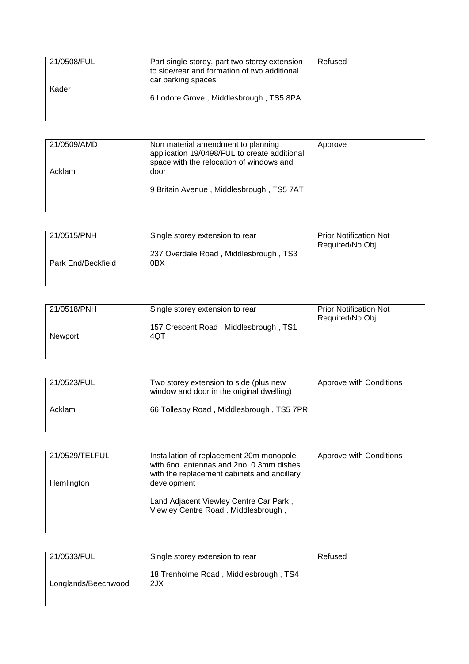| 21/0508/FUL | Part single storey, part two storey extension<br>to side/rear and formation of two additional<br>car parking spaces | Refused |
|-------------|---------------------------------------------------------------------------------------------------------------------|---------|
| Kader       | 6 Lodore Grove, Middlesbrough, TS5 8PA                                                                              |         |

| 21/0509/AMD | Non material amendment to planning<br>application 19/0498/FUL to create additional<br>space with the relocation of windows and | Approve |
|-------------|--------------------------------------------------------------------------------------------------------------------------------|---------|
| Acklam      | door                                                                                                                           |         |
|             | 9 Britain Avenue, Middlesbrough, TS5 7AT                                                                                       |         |

| 21/0515/PNH        | Single storey extension to rear              | <b>Prior Notification Not</b><br>Required/No Obj |
|--------------------|----------------------------------------------|--------------------------------------------------|
| Park End/Beckfield | 237 Overdale Road, Middlesbrough, TS3<br>0BX |                                                  |

| 21/0518/PNH | Single storey extension to rear              | <b>Prior Notification Not</b><br>Required/No Obj |
|-------------|----------------------------------------------|--------------------------------------------------|
| Newport     | 157 Crescent Road, Middlesbrough, TS1<br>4QT |                                                  |
|             |                                              |                                                  |

| 21/0523/FUL | Two storey extension to side (plus new<br>window and door in the original dwelling) | Approve with Conditions |
|-------------|-------------------------------------------------------------------------------------|-------------------------|
| Acklam      | 66 Tollesby Road, Middlesbrough, TS5 7PR                                            |                         |

| 21/0529/TELFUL | Installation of replacement 20m monopole    | Approve with Conditions |
|----------------|---------------------------------------------|-------------------------|
|                | with 6no. antennas and 2no. 0.3mm dishes    |                         |
|                | with the replacement cabinets and ancillary |                         |
| Hemlington     | development                                 |                         |
|                |                                             |                         |
|                | Land Adjacent Viewley Centre Car Park,      |                         |
|                | Viewley Centre Road, Middlesbrough,         |                         |
|                |                                             |                         |
|                |                                             |                         |

| 21/0533/FUL         | Single storey extension to rear              | Refused |
|---------------------|----------------------------------------------|---------|
| Longlands/Beechwood | 18 Trenholme Road, Middlesbrough, TS4<br>2JX |         |